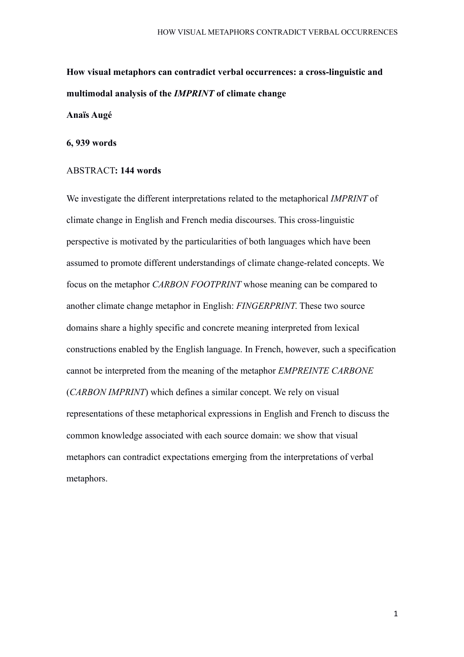# **How visual metaphors can contradict verbal occurrences: a cross-linguistic and multimodal analysis of the** *IMPRINT* **of climate change**

## **Anaïs Augé**

### **6, 939 words**

#### ABSTRACT**: 144 words**

We investigate the different interpretations related to the metaphorical *IMPRINT* of climate change in English and French media discourses. This cross-linguistic perspective is motivated by the particularities of both languages which have been assumed to promote different understandings of climate change-related concepts. We focus on the metaphor *CARBON FOOTPRINT* whose meaning can be compared to another climate change metaphor in English: *FINGERPRINT*. These two source domains share a highly specific and concrete meaning interpreted from lexical constructions enabled by the English language. In French, however, such a specification cannot be interpreted from the meaning of the metaphor *EMPREINTE CARBONE* (*CARBON IMPRINT*) which defines a similar concept. We rely on visual representations of these metaphorical expressions in English and French to discuss the common knowledge associated with each source domain: we show that visual metaphors can contradict expectations emerging from the interpretations of verbal metaphors.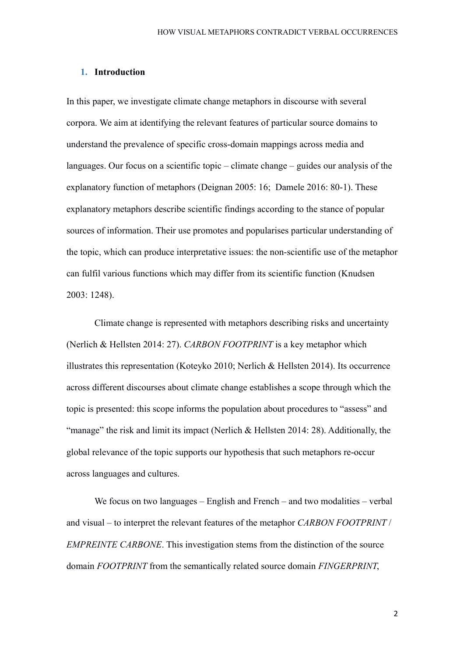### **1. Introduction**

In this paper, we investigate climate change metaphors in discourse with several corpora. We aim at identifying the relevant features of particular source domains to understand the prevalence of specific cross-domain mappings across media and languages. Our focus on a scientific topic – climate change – guides our analysis of the explanatory function of metaphors (Deignan 2005: 16; Damele 2016: 80-1). These explanatory metaphors describe scientific findings according to the stance of popular sources of information. Their use promotes and popularises particular understanding of the topic, which can produce interpretative issues: the non-scientific use of the metaphor can fulfil various functions which may differ from its scientific function (Knudsen 2003: 1248).

Climate change is represented with metaphors describing risks and uncertainty (Nerlich & Hellsten 2014: 27). *CARBON FOOTPRINT* is a key metaphor which illustrates this representation (Koteyko 2010; Nerlich & Hellsten 2014). Its occurrence across different discourses about climate change establishes a scope through which the topic is presented: this scope informs the population about procedures to "assess" and "manage" the risk and limit its impact (Nerlich & Hellsten 2014: 28). Additionally, the global relevance of the topic supports our hypothesis that such metaphors re-occur across languages and cultures.

We focus on two languages – English and French – and two modalities – verbal and visual – to interpret the relevant features of the metaphor *CARBON FOOTPRINT* / *EMPREINTE CARBONE*. This investigation stems from the distinction of the source domain *FOOTPRINT* from the semantically related source domain *FINGERPRINT*,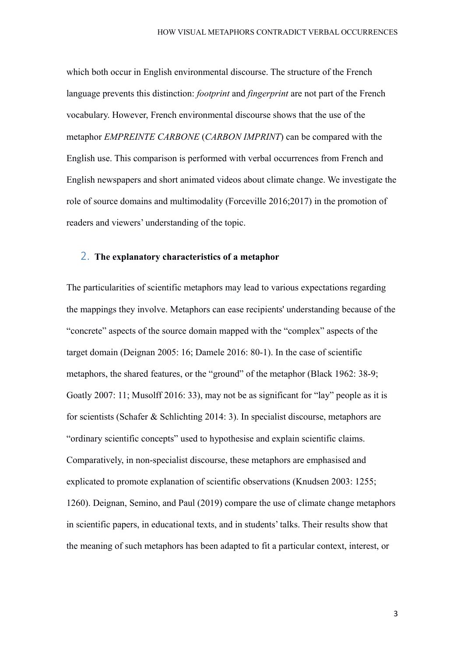which both occur in English environmental discourse. The structure of the French language prevents this distinction: *footprint* and *fingerprint* are not part of the French vocabulary. However, French environmental discourse shows that the use of the metaphor *EMPREINTE CARBONE* (*CARBON IMPRINT*) can be compared with the English use. This comparison is performed with verbal occurrences from French and English newspapers and short animated videos about climate change. We investigate the role of source domains and multimodality (Forceville 2016;2017) in the promotion of readers and viewers' understanding of the topic.

## 2. **The explanatory characteristics of a metaphor**

The particularities of scientific metaphors may lead to various expectations regarding the mappings they involve. Metaphors can ease recipients' understanding because of the "concrete" aspects of the source domain mapped with the "complex" aspects of the target domain (Deignan 2005: 16; Damele 2016: 80-1). In the case of scientific metaphors, the shared features, or the "ground" of the metaphor (Black 1962: 38-9; Goatly 2007: 11; Musolff 2016: 33), may not be as significant for "lay" people as it is for scientists (Schafer & Schlichting 2014: 3). In specialist discourse, metaphors are "ordinary scientific concepts" used to hypothesise and explain scientific claims. Comparatively, in non-specialist discourse, these metaphors are emphasised and explicated to promote explanation of scientific observations (Knudsen 2003: 1255; 1260). Deignan, Semino, and Paul (2019) compare the use of climate change metaphors in scientific papers, in educational texts, and in students' talks. Their results show that the meaning of such metaphors has been adapted to fit a particular context, interest, or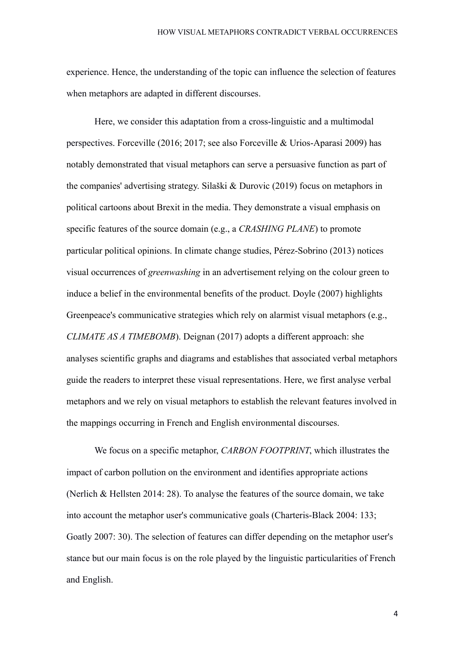experience. Hence, the understanding of the topic can influence the selection of features when metaphors are adapted in different discourses.

Here, we consider this adaptation from a cross-linguistic and a multimodal perspectives. Forceville (2016; 2017; see also Forceville & Urios-Aparasi 2009) has notably demonstrated that visual metaphors can serve a persuasive function as part of the companies' advertising strategy. Silaški & Durovic (2019) focus on metaphors in political cartoons about Brexit in the media. They demonstrate a visual emphasis on specific features of the source domain (e.g., a *CRASHING PLANE*) to promote particular political opinions. In climate change studies, Pérez-Sobrino (2013) notices visual occurrences of *greenwashing* in an advertisement relying on the colour green to induce a belief in the environmental benefits of the product. Doyle (2007) highlights Greenpeace's communicative strategies which rely on alarmist visual metaphors (e.g., *CLIMATE AS A TIMEBOMB*). Deignan (2017) adopts a different approach: she analyses scientific graphs and diagrams and establishes that associated verbal metaphors guide the readers to interpret these visual representations. Here, we first analyse verbal metaphors and we rely on visual metaphors to establish the relevant features involved in the mappings occurring in French and English environmental discourses.

We focus on a specific metaphor, *CARBON FOOTPRINT*, which illustrates the impact of carbon pollution on the environment and identifies appropriate actions (Nerlich & Hellsten 2014: 28). To analyse the features of the source domain, we take into account the metaphor user's communicative goals (Charteris-Black 2004: 133; Goatly 2007: 30). The selection of features can differ depending on the metaphor user's stance but our main focus is on the role played by the linguistic particularities of French and English.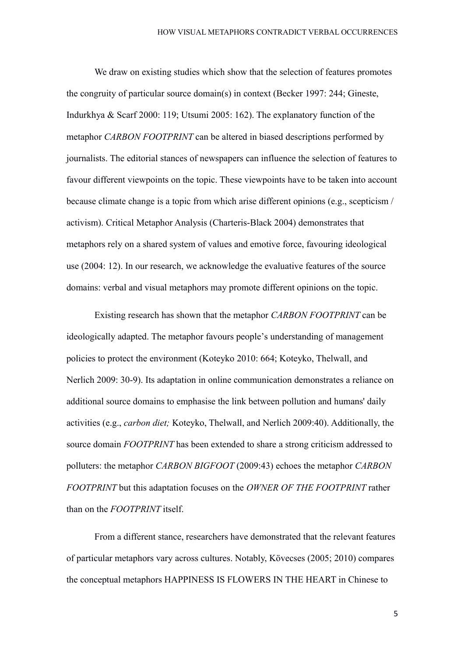We draw on existing studies which show that the selection of features promotes the congruity of particular source domain(s) in context (Becker 1997: 244; Gineste, Indurkhya & Scarf 2000: 119; Utsumi 2005: 162). The explanatory function of the metaphor *CARBON FOOTPRINT* can be altered in biased descriptions performed by journalists. The editorial stances of newspapers can influence the selection of features to favour different viewpoints on the topic. These viewpoints have to be taken into account because climate change is a topic from which arise different opinions (e.g., scepticism / activism). Critical Metaphor Analysis (Charteris-Black 2004) demonstrates that metaphors rely on a shared system of values and emotive force, favouring ideological use (2004: 12). In our research, we acknowledge the evaluative features of the source domains: verbal and visual metaphors may promote different opinions on the topic.

Existing research has shown that the metaphor *CARBON FOOTPRINT* can be ideologically adapted. The metaphor favours people's understanding of management policies to protect the environment (Koteyko 2010: 664; Koteyko, Thelwall, and Nerlich 2009: 30-9). Its adaptation in online communication demonstrates a reliance on additional source domains to emphasise the link between pollution and humans' daily activities (e.g., *carbon diet;* Koteyko, Thelwall, and Nerlich 2009:40). Additionally, the source domain *FOOTPRINT* has been extended to share a strong criticism addressed to polluters: the metaphor *CARBON BIGFOOT* (2009:43) echoes the metaphor *CARBON FOOTPRINT* but this adaptation focuses on the *OWNER OF THE FOOTPRINT* rather than on the *FOOTPRINT* itself.

From a different stance, researchers have demonstrated that the relevant features of particular metaphors vary across cultures. Notably, Kövecses (2005; 2010) compares the conceptual metaphors HAPPINESS IS FLOWERS IN THE HEART in Chinese to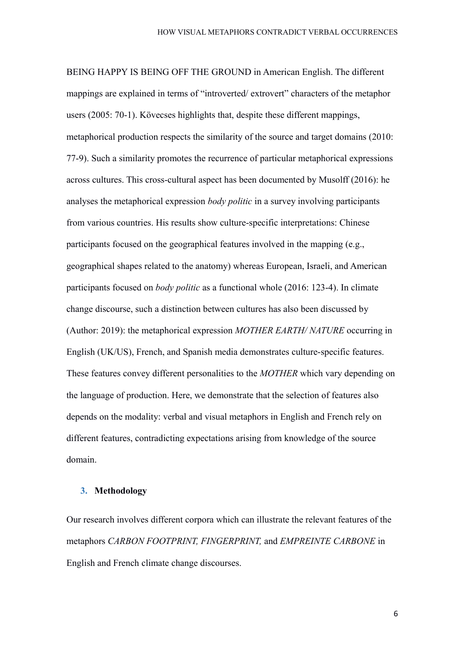BEING HAPPY IS BEING OFF THE GROUND in American English. The different mappings are explained in terms of "introverted/ extrovert" characters of the metaphor users (2005: 70-1). Kövecses highlights that, despite these different mappings, metaphorical production respects the similarity of the source and target domains (2010: 77-9). Such a similarity promotes the recurrence of particular metaphorical expressions across cultures. This cross-cultural aspect has been documented by Musolff (2016): he analyses the metaphorical expression *body politic* in a survey involving participants from various countries. His results show culture-specific interpretations: Chinese participants focused on the geographical features involved in the mapping (e.g., geographical shapes related to the anatomy) whereas European, Israeli, and American participants focused on *body politic* as a functional whole (2016: 123-4). In climate change discourse, such a distinction between cultures has also been discussed by (Author: 2019): the metaphorical expression *MOTHER EARTH/ NATURE* occurring in English (UK/US), French, and Spanish media demonstrates culture-specific features. These features convey different personalities to the *MOTHER* which vary depending on the language of production. Here, we demonstrate that the selection of features also depends on the modality: verbal and visual metaphors in English and French rely on different features, contradicting expectations arising from knowledge of the source domain.

### **3. Methodology**

Our research involves different corpora which can illustrate the relevant features of the metaphors *CARBON FOOTPRINT, FINGERPRINT,* and *EMPREINTE CARBONE* in English and French climate change discourses.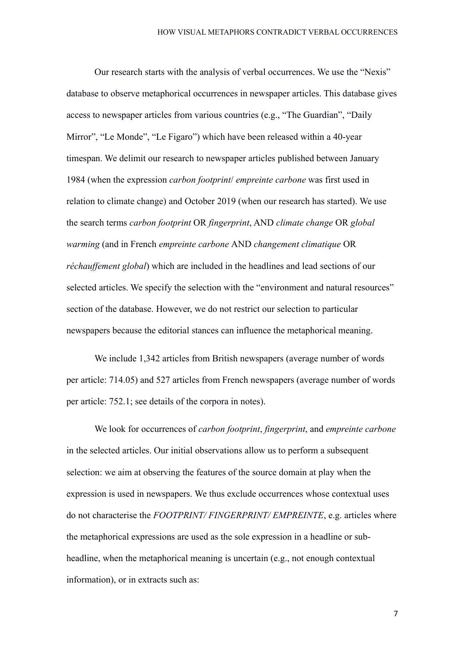Our research starts with the analysis of verbal occurrences. We use the "Nexis" database to observe metaphorical occurrences in newspaper articles. This database gives access to newspaper articles from various countries (e.g., "The Guardian", "Daily Mirror", "Le Monde", "Le Figaro") which have been released within a 40-year timespan. We delimit our research to newspaper articles published between January 1984 (when the expression *carbon footprint*/ *empreinte carbone* was first used in relation to climate change) and October 2019 (when our research has started). We use the search terms *carbon footprint* OR *fingerprint*, AND *climate change* OR *global warming* (and in French *empreinte carbone* AND *changement climatique* OR *réchauffement global*) which are included in the headlines and lead sections of our selected articles. We specify the selection with the "environment and natural resources" section of the database. However, we do not restrict our selection to particular newspapers because the editorial stances can influence the metaphorical meaning.

We include 1,342 articles from British newspapers (average number of words per article: 714.05) and 527 articles from French newspapers (average number of words per article: 752.1; see details of the corpora in notes).

We look for occurrences of *carbon footprint*, *fingerprint*, and *empreinte carbone* in the selected articles. Our initial observations allow us to perform a subsequent selection: we aim at observing the features of the source domain at play when the expression is used in newspapers. We thus exclude occurrences whose contextual uses do not characterise the *FOOTPRINT/ FINGERPRINT/ EMPREINTE*, e.g. articles where the metaphorical expressions are used as the sole expression in a headline or subheadline, when the metaphorical meaning is uncertain (e.g., not enough contextual information), or in extracts such as: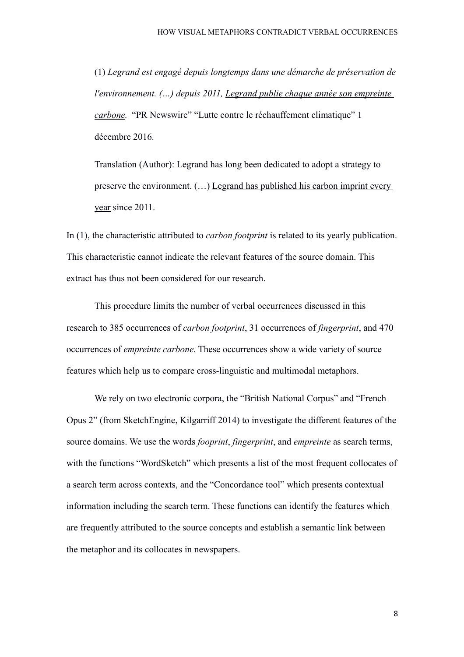(1) *Legrand est engagé depuis longtemps dans une démarche de préservation de l'environnement. (…) depuis 2011, Legrand publie chaque année son empreinte carbone.* "PR Newswire" "Lutte contre le réchauffement climatique" 1 décembre 2016.

Translation (Author): Legrand has long been dedicated to adopt a strategy to preserve the environment. (…) Legrand has published his carbon imprint every year since 2011.

In (1), the characteristic attributed to *carbon footprint* is related to its yearly publication. This characteristic cannot indicate the relevant features of the source domain. This extract has thus not been considered for our research.

This procedure limits the number of verbal occurrences discussed in this research to 385 occurrences of *carbon footprint*, 31 occurrences of *fingerprint*, and 470 occurrences of *empreinte carbone*. These occurrences show a wide variety of source features which help us to compare cross-linguistic and multimodal metaphors.

We rely on two electronic corpora, the "British National Corpus" and "French Opus 2" (from SketchEngine, Kilgarriff 2014) to investigate the different features of the source domains. We use the words *fooprint*, *fingerprint*, and *empreinte* as search terms, with the functions "WordSketch" which presents a list of the most frequent collocates of a search term across contexts, and the "Concordance tool" which presents contextual information including the search term. These functions can identify the features which are frequently attributed to the source concepts and establish a semantic link between the metaphor and its collocates in newspapers.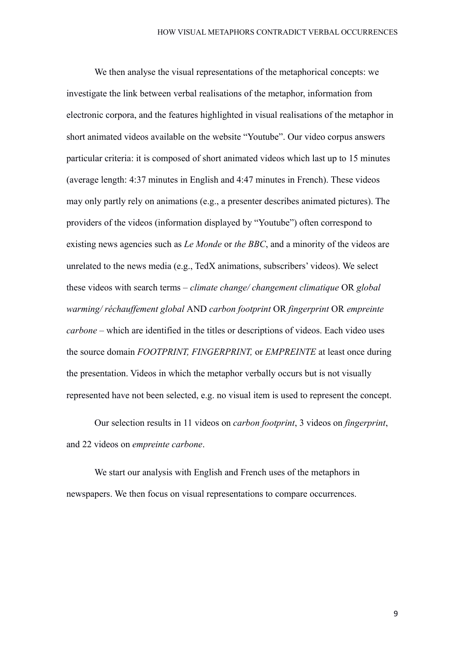We then analyse the visual representations of the metaphorical concepts: we investigate the link between verbal realisations of the metaphor, information from electronic corpora, and the features highlighted in visual realisations of the metaphor in short animated videos available on the website "Youtube". Our video corpus answers particular criteria: it is composed of short animated videos which last up to 15 minutes (average length: 4:37 minutes in English and 4:47 minutes in French). These videos may only partly rely on animations (e.g., a presenter describes animated pictures). The providers of the videos (information displayed by "Youtube") often correspond to existing news agencies such as *Le Monde* or *the BBC*, and a minority of the videos are unrelated to the news media (e.g., TedX animations, subscribers' videos). We select these videos with search terms – *climate change/ changement climatique* OR *global warming/ réchauffement global* AND *carbon footprint* OR *fingerprint* OR *empreinte carbone* – which are identified in the titles or descriptions of videos. Each video uses the source domain *FOOTPRINT, FINGERPRINT,* or *EMPREINTE* at least once during the presentation. Videos in which the metaphor verbally occurs but is not visually represented have not been selected, e.g. no visual item is used to represent the concept.

Our selection results in 11 videos on *carbon footprint*, 3 videos on *fingerprint*, and 22 videos on *empreinte carbone*.

We start our analysis with English and French uses of the metaphors in newspapers. We then focus on visual representations to compare occurrences.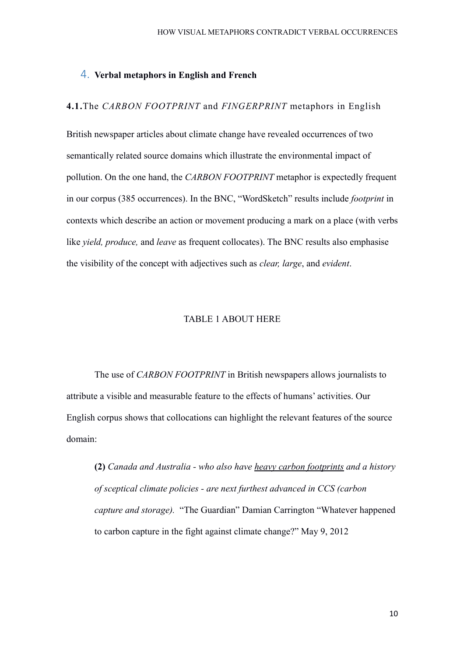### 4. **Verbal metaphors in English and French**

### **4.1.**The *CARBON FOOTPRINT* and *FINGERPRINT* metaphors in English

British newspaper articles about climate change have revealed occurrences of two semantically related source domains which illustrate the environmental impact of pollution. On the one hand, the *CARBON FOOTPRINT* metaphor is expectedly frequent in our corpus (385 occurrences). In the BNC, "WordSketch" results include *footprint* in contexts which describe an action or movement producing a mark on a place (with verbs like *yield, produce,* and *leave* as frequent collocates). The BNC results also emphasise the visibility of the concept with adjectives such as *clear, large*, and *evident*.

#### TABLE 1 ABOUT HERE

The use of *CARBON FOOTPRINT* in British newspapers allows journalists to attribute a visible and measurable feature to the effects of humans' activities. Our English corpus shows that collocations can highlight the relevant features of the source domain:

**(2)** *Canada and Australia - who also have heavy carbon footprints and a history of sceptical climate policies - are next furthest advanced in CCS (carbon capture and storage).* "The Guardian" Damian Carrington "Whatever happened to carbon capture in the fight against climate change?" May 9, 2012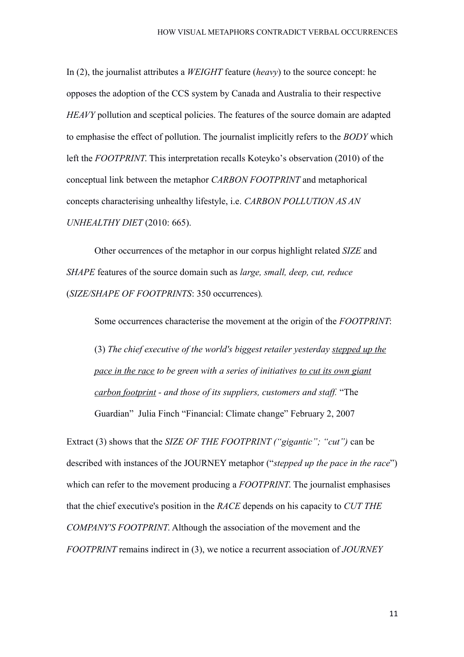In (2), the journalist attributes a *WEIGHT* feature (*heavy*) to the source concept: he opposes the adoption of the CCS system by Canada and Australia to their respective *HEAVY* pollution and sceptical policies. The features of the source domain are adapted to emphasise the effect of pollution. The journalist implicitly refers to the *BODY* which left the *FOOTPRINT*. This interpretation recalls Koteyko's observation (2010) of the conceptual link between the metaphor *CARBON FOOTPRINT* and metaphorical concepts characterising unhealthy lifestyle, i.e. *CARBON POLLUTION AS AN UNHEALTHY DIET* (2010: 665).

Other occurrences of the metaphor in our corpus highlight related *SIZE* and *SHAPE* features of the source domain such as *large, small, deep, cut, reduce* (*SIZE/SHAPE OF FOOTPRINTS*: 350 occurrences)*.*

Some occurrences characterise the movement at the origin of the *FOOTPRINT*:

(3) *The chief executive of the world's biggest retailer yesterday stepped up the pace in the race to be green with a series of initiatives to cut its own giant carbon footprint - and those of its suppliers, customers and staff.* "The Guardian" Julia Finch "Financial: Climate change" February 2, 2007

Extract (3) shows that the *SIZE OF THE FOOTPRINT ("gigantic"; "cut")* can be described with instances of the JOURNEY metaphor ("*stepped up the pace in the race*") which can refer to the movement producing a *FOOTPRINT*. The journalist emphasises that the chief executive's position in the *RACE* depends on his capacity to *CUT THE COMPANY'S FOOTPRINT*. Although the association of the movement and the *FOOTPRINT* remains indirect in (3), we notice a recurrent association of *JOURNEY*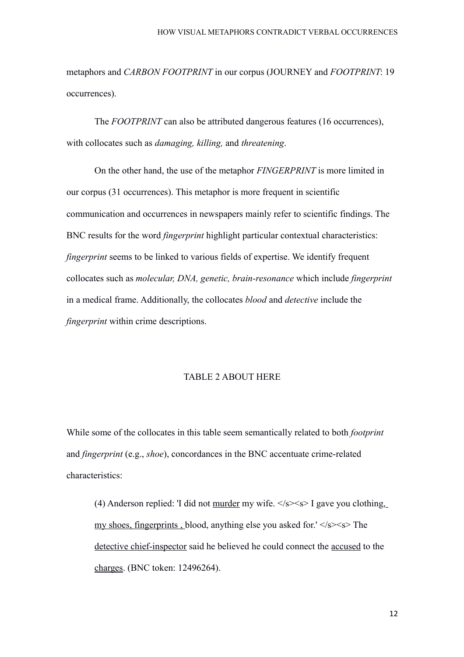metaphors and *CARBON FOOTPRINT* in our corpus (JOURNEY and *FOOTPRINT*: 19 occurrences).

The *FOOTPRINT* can also be attributed dangerous features (16 occurrences), with collocates such as *damaging, killing,* and *threatening*.

On the other hand, the use of the metaphor *FINGERPRINT* is more limited in our corpus (31 occurrences). This metaphor is more frequent in scientific communication and occurrences in newspapers mainly refer to scientific findings. The BNC results for the word *fingerprint* highlight particular contextual characteristics: *fingerprint* seems to be linked to various fields of expertise. We identify frequent collocates such as *molecular, DNA, genetic, brain-resonance* which include *fingerprint* in a medical frame. Additionally, the collocates *blood* and *detective* include the *fingerprint* within crime descriptions.

#### TABLE 2 ABOUT HERE

While some of the collocates in this table seem semantically related to both *footprint* and *fingerprint* (e.g., *shoe*), concordances in the BNC accentuate crime-related characteristics:

(4) Anderson replied: 'I did not <u>murder</u> my wife.  $\langle$ s> $\langle$ s> I gave you clothing, my shoes, fingerprints, blood, anything else you asked for.'  $\langle$ s $\rangle$  <s $>$  The detective chief-inspector said he believed he could connect the accused to the charges. (BNC token: 12496264).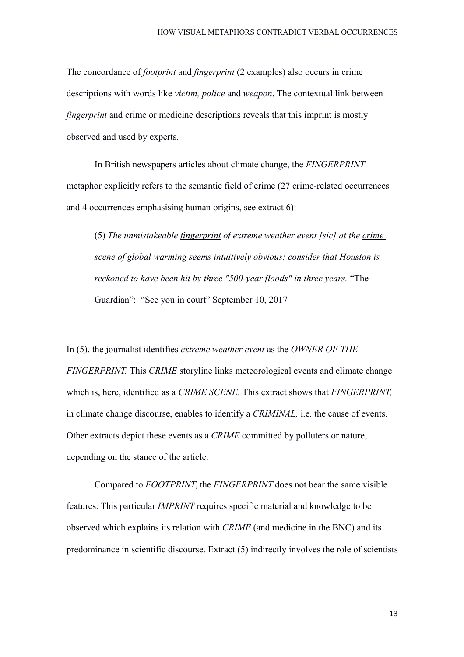The concordance of *footprint* and *fingerprint* (2 examples) also occurs in crime descriptions with words like *victim, police* and *weapon*. The contextual link between *fingerprint* and crime or medicine descriptions reveals that this imprint is mostly observed and used by experts.

In British newspapers articles about climate change, the *FINGERPRINT* metaphor explicitly refers to the semantic field of crime (27 crime-related occurrences and 4 occurrences emphasising human origins, see extract 6):

(5) *The unmistakeable fingerprint of extreme weather event [sic] at the crime scene of global warming seems intuitively obvious: consider that Houston is reckoned to have been hit by three "500-year floods" in three years.* "The Guardian": "See you in court" September 10, 2017

In (5), the journalist identifies *extreme weather event* as the *OWNER OF THE FINGERPRINT.* This *CRIME* storyline links meteorological events and climate change which is, here, identified as a *CRIME SCENE*. This extract shows that *FINGERPRINT,* in climate change discourse, enables to identify a *CRIMINAL,* i.e. the cause of events. Other extracts depict these events as a *CRIME* committed by polluters or nature, depending on the stance of the article.

Compared to *FOOTPRINT*, the *FINGERPRINT* does not bear the same visible features. This particular *IMPRINT* requires specific material and knowledge to be observed which explains its relation with *CRIME* (and medicine in the BNC) and its predominance in scientific discourse. Extract (5) indirectly involves the role of scientists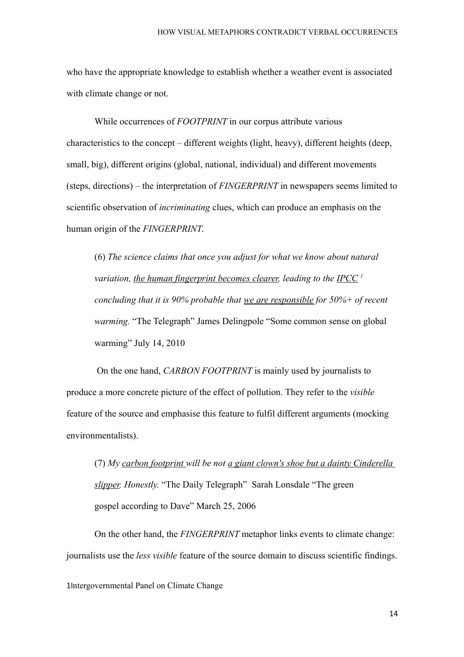who have the appropriate knowledge to establish whether a weather event is associated with climate change or not.

While occurrences of *FOOTPRINT* in our corpus attribute various characteristics to the concept – different weights (light, heavy), different heights (deep, small, big), different origins (global, national, individual) and different movements (steps, directions) – the interpretation of *FINGERPRINT* in newspapers seems limited to scientific observation of *incriminating* clues, which can produce an emphasis on the human origin of the *FINGERPRINT*.

(6) *The science claims that once you adjust for what we know about natural variation, the human fingerprint becomes clearer, leading to the IPCC [1](#page-13-0) concluding that it is 90% probable that we are responsible for 50%+ of recent warming.* "The Telegraph" James Delingpole "Some common sense on global warming" July 14, 2010

 On the one hand, *CARBON FOOTPRINT* is mainly used by journalists to produce a more concrete picture of the effect of pollution. They refer to the *visible* feature of the source and emphasise this feature to fulfil different arguments (mocking environmentalists).

(7) *My carbon footprint will be not a giant clown's shoe but a dainty Cinderella slipper. Honestly.* "The Daily Telegraph" Sarah Lonsdale "The green gospel according to Dave" March 25, 2006

<span id="page-13-0"></span>On the other hand, the *FINGERPRINT* metaphor links events to climate change: journalists use the *less visible* feature of the source domain to discuss scientific findings.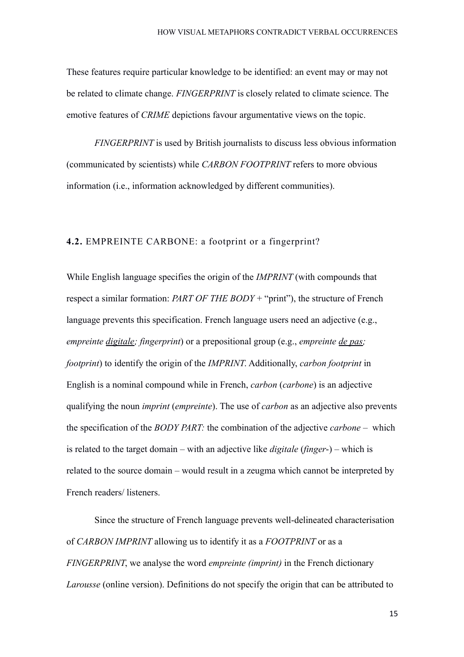These features require particular knowledge to be identified: an event may or may not be related to climate change. *FINGERPRINT* is closely related to climate science. The emotive features of *CRIME* depictions favour argumentative views on the topic.

*FINGERPRINT* is used by British journalists to discuss less obvious information (communicated by scientists) while *CARBON FOOTPRINT* refers to more obvious information (i.e., information acknowledged by different communities).

### **4.2.** EMPREINTE CARBONE: a footprint or a fingerprint?

While English language specifies the origin of the *IMPRINT* (with compounds that respect a similar formation: *PART OF THE BODY* + "print"), the structure of French language prevents this specification. French language users need an adjective (e.g., *empreinte digitale; fingerprint*) or a prepositional group (e.g., *empreinte de pas; footprint*) to identify the origin of the *IMPRINT*. Additionally, *carbon footprint* in English is a nominal compound while in French, *carbon* (*carbone*) is an adjective qualifying the noun *imprint* (*empreinte*). The use of *carbon* as an adjective also prevents the specification of the *BODY PART:* the combination of the adjective *carbone –* which is related to the target domain – with an adjective like *digitale* (*finger*-) – which is related to the source domain – would result in a zeugma which cannot be interpreted by French readers/ listeners.

Since the structure of French language prevents well-delineated characterisation of *CARBON IMPRINT* allowing us to identify it as a *FOOTPRINT* or as a *FINGERPRINT*, we analyse the word *empreinte (imprint)* in the French dictionary *Larousse* (online version). Definitions do not specify the origin that can be attributed to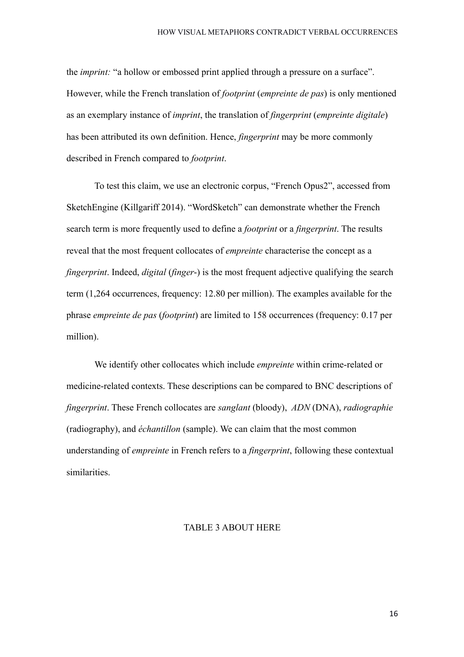the *imprint:* "a hollow or embossed print applied through a pressure on a surface". However, while the French translation of *footprint* (*empreinte de pas*) is only mentioned as an exemplary instance of *imprint*, the translation of *fingerprint* (*empreinte digitale*) has been attributed its own definition. Hence, *fingerprint* may be more commonly described in French compared to *footprint*.

To test this claim, we use an electronic corpus, "French Opus2", accessed from SketchEngine (Killgariff 2014). "WordSketch" can demonstrate whether the French search term is more frequently used to define a *footprint* or a *fingerprint*. The results reveal that the most frequent collocates of *empreinte* characterise the concept as a *fingerprint*. Indeed, *digital* (*finger*-) is the most frequent adjective qualifying the search term (1,264 occurrences, frequency: 12.80 per million). The examples available for the phrase *empreinte de pas* (*footprint*) are limited to 158 occurrences (frequency: 0.17 per million).

We identify other collocates which include *empreinte* within crime-related or medicine-related contexts. These descriptions can be compared to BNC descriptions of *fingerprint*. These French collocates are *sanglant* (bloody), *ADN* (DNA), *radiographie* (radiography), and *échantillon* (sample). We can claim that the most common understanding of *empreinte* in French refers to a *fingerprint*, following these contextual similarities.

### TABLE 3 ABOUT HERE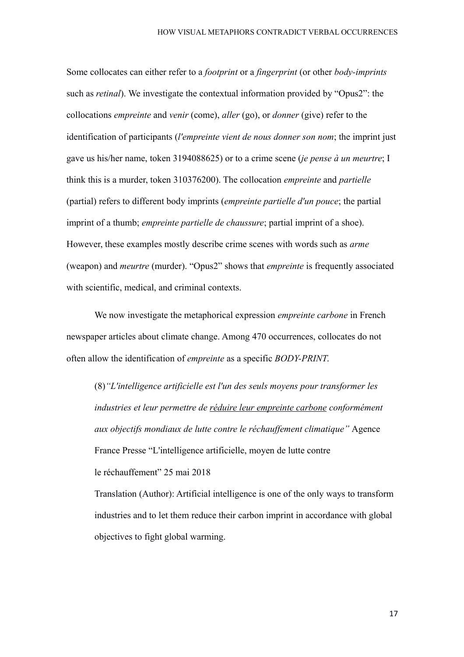Some collocates can either refer to a *footprint* or a *fingerprint* (or other *body-imprints* such as *retinal*). We investigate the contextual information provided by "Opus2": the collocations *empreinte* and *venir* (come), *aller* (go), or *donner* (give) refer to the identification of participants (*l'empreinte vient de nous donner son nom*; the imprint just gave us his/her name, token 3194088625) or to a crime scene (*je pense à un meurtre*; I think this is a murder, token 310376200). The collocation *empreinte* and *partielle* (partial) refers to different body imprints (*empreinte partielle d'un pouce*; the partial imprint of a thumb; *empreinte partielle de chaussure*; partial imprint of a shoe). However, these examples mostly describe crime scenes with words such as *arme* (weapon) and *meurtre* (murder). "Opus2" shows that *empreinte* is frequently associated with scientific, medical, and criminal contexts.

We now investigate the metaphorical expression *empreinte carbone* in French newspaper articles about climate change. Among 470 occurrences, collocates do not often allow the identification of *empreinte* as a specific *BODY-PRINT*.

(8)*"L'intelligence artificielle est l'un des seuls moyens pour transformer les industries et leur permettre de réduire leur empreinte carbone conformément aux objectifs mondiaux de lutte contre le réchauffement climatique"* Agence France Presse "L'intelligence artificielle, moyen de lutte contre le réchauffement" 25 mai 2018

Translation (Author): Artificial intelligence is one of the only ways to transform industries and to let them reduce their carbon imprint in accordance with global objectives to fight global warming.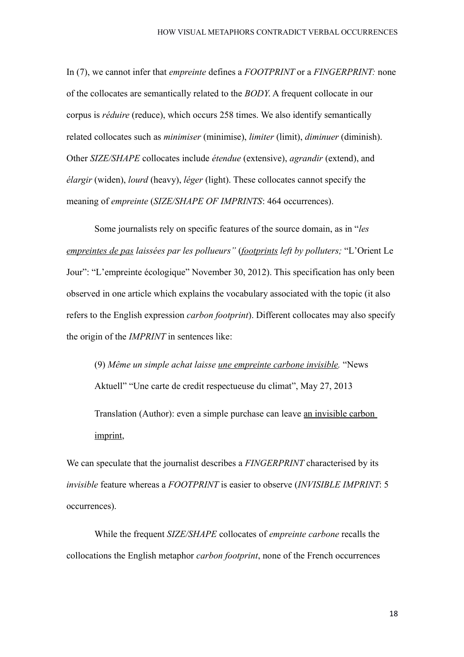In (7), we cannot infer that *empreinte* defines a *FOOTPRINT* or a *FINGERPRINT:* none of the collocates are semantically related to the *BODY*. A frequent collocate in our corpus is *réduire* (reduce), which occurs 258 times. We also identify semantically related collocates such as *minimiser* (minimise), *limiter* (limit), *diminuer* (diminish). Other *SIZE/SHAPE* collocates include *étendue* (extensive), *agrandir* (extend), and *élargir* (widen), *lourd* (heavy), *léger* (light). These collocates cannot specify the meaning of *empreinte* (*SIZE/SHAPE OF IMPRINTS*: 464 occurrences).

Some journalists rely on specific features of the source domain, as in "*les empreintes de pas laissées par les pollueurs"* (*footprints left by polluters;* "L'Orient Le Jour": "L'empreinte écologique" November 30, 2012). This specification has only been observed in one article which explains the vocabulary associated with the topic (it also refers to the English expression *carbon footprint*). Different collocates may also specify the origin of the *IMPRINT* in sentences like:

(9) *Même un simple achat laisse une empreinte carbone invisible.* "News Aktuell" "Une carte de credit respectueuse du climat", May 27, 2013 Translation (Author): even a simple purchase can leave an invisible carbon imprint,

We can speculate that the journalist describes a *FINGERPRINT* characterised by its *invisible* feature whereas a *FOOTPRINT* is easier to observe (*INVISIBLE IMPRINT*: 5 occurrences).

While the frequent *SIZE/SHAPE* collocates of *empreinte carbone* recalls the collocations the English metaphor *carbon footprint*, none of the French occurrences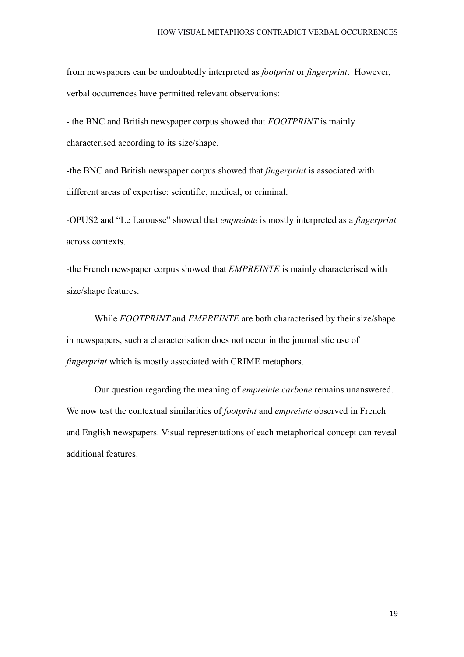from newspapers can be undoubtedly interpreted as *footprint* or *fingerprint*. However, verbal occurrences have permitted relevant observations:

- the BNC and British newspaper corpus showed that *FOOTPRINT* is mainly characterised according to its size/shape.

-the BNC and British newspaper corpus showed that *fingerprint* is associated with different areas of expertise: scientific, medical, or criminal.

-OPUS2 and "Le Larousse" showed that *empreinte* is mostly interpreted as a *fingerprint* across contexts.

-the French newspaper corpus showed that *EMPREINTE* is mainly characterised with size/shape features.

While *FOOTPRINT* and *EMPREINTE* are both characterised by their size/shape in newspapers, such a characterisation does not occur in the journalistic use of *fingerprint* which is mostly associated with CRIME metaphors.

Our question regarding the meaning of *empreinte carbone* remains unanswered. We now test the contextual similarities of *footprint* and *empreinte* observed in French and English newspapers. Visual representations of each metaphorical concept can reveal additional features.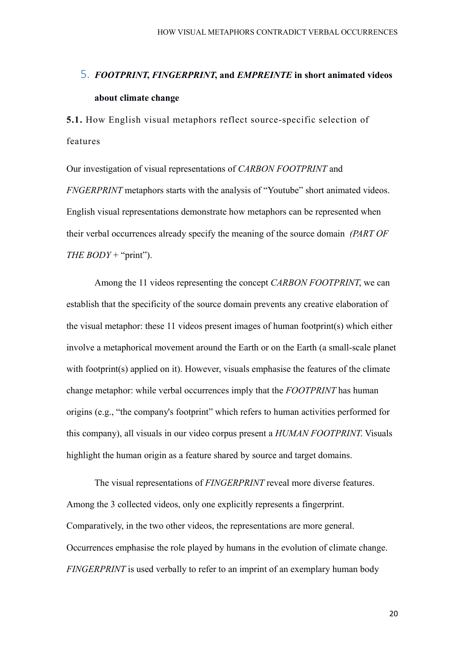# 5. *FOOTPRINT***,** *FINGERPRINT***, and** *EMPREINTE* **in short animated videos about climate change**

**5.1.** How English visual metaphors reflect source-specific selection of features

Our investigation of visual representations of *CARBON FOOTPRINT* and *FNGERPRINT* metaphors starts with the analysis of "Youtube" short animated videos. English visual representations demonstrate how metaphors can be represented when their verbal occurrences already specify the meaning of the source domain *(PART OF THE BODY* + "print").

Among the 11 videos representing the concept *CARBON FOOTPRINT*, we can establish that the specificity of the source domain prevents any creative elaboration of the visual metaphor: these 11 videos present images of human footprint(s) which either involve a metaphorical movement around the Earth or on the Earth (a small-scale planet with footprint(s) applied on it). However, visuals emphasise the features of the climate change metaphor: while verbal occurrences imply that the *FOOTPRINT* has human origins (e.g., "the company's footprint" which refers to human activities performed for this company), all visuals in our video corpus present a *HUMAN FOOTPRINT*. Visuals highlight the human origin as a feature shared by source and target domains.

The visual representations of *FINGERPRINT* reveal more diverse features. Among the 3 collected videos, only one explicitly represents a fingerprint. Comparatively, in the two other videos, the representations are more general. Occurrences emphasise the role played by humans in the evolution of climate change. *FINGERPRINT* is used verbally to refer to an imprint of an exemplary human body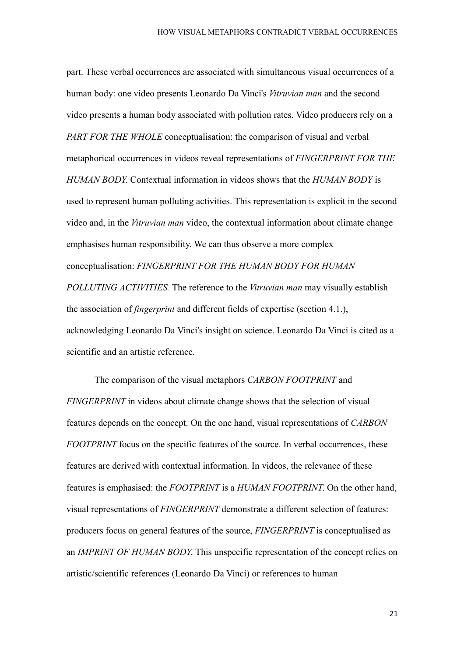part. These verbal occurrences are associated with simultaneous visual occurrences of a human body: one video presents Leonardo Da Vinci's *Vitruvian man* and the second video presents a human body associated with pollution rates. Video producers rely on a *PART FOR THE WHOLE* conceptualisation: the comparison of visual and verbal metaphorical occurrences in videos reveal representations of *FINGERPRINT FOR THE HUMAN BODY*. Contextual information in videos shows that the *HUMAN BODY* is used to represent human polluting activities. This representation is explicit in the second video and, in the *Vitruvian man* video, the contextual information about climate change emphasises human responsibility. We can thus observe a more complex conceptualisation: *FINGERPRINT FOR THE HUMAN BODY FOR HUMAN POLLUTING ACTIVITIES.* The reference to the *Vitruvian man* may visually establish the association of *fingerprint* and different fields of expertise (section 4.1.), acknowledging Leonardo Da Vinci's insight on science. Leonardo Da Vinci is cited as a scientific and an artistic reference.

The comparison of the visual metaphors *CARBON FOOTPRINT* and *FINGERPRINT* in videos about climate change shows that the selection of visual features depends on the concept. On the one hand, visual representations of *CARBON FOOTPRINT* focus on the specific features of the source. In verbal occurrences, these features are derived with contextual information. In videos, the relevance of these features is emphasised: the *FOOTPRINT* is a *HUMAN FOOTPRINT*. On the other hand, visual representations of *FINGERPRINT* demonstrate a different selection of features: producers focus on general features of the source, *FINGERPRINT* is conceptualised as an *IMPRINT OF HUMAN BODY*. This unspecific representation of the concept relies on artistic/scientific references (Leonardo Da Vinci) or references to human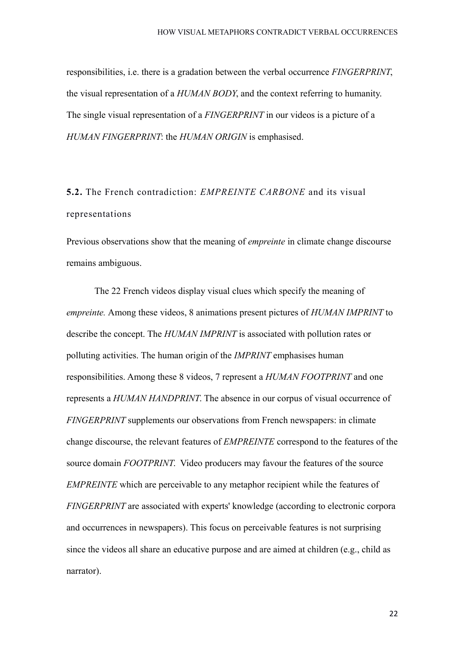responsibilities, i.e. there is a gradation between the verbal occurrence *FINGERPRINT*, the visual representation of a *HUMAN BODY*, and the context referring to humanity. The single visual representation of a *FINGERPRINT* in our videos is a picture of a *HUMAN FINGERPRINT*: the *HUMAN ORIGIN* is emphasised.

# **5.2.** The French contradiction: *EMPREINTE CARBONE* and its visual representations

Previous observations show that the meaning of *empreinte* in climate change discourse remains ambiguous.

The 22 French videos display visual clues which specify the meaning of *empreinte.* Among these videos, 8 animations present pictures of *HUMAN IMPRINT* to describe the concept. The *HUMAN IMPRINT* is associated with pollution rates or polluting activities. The human origin of the *IMPRINT* emphasises human responsibilities. Among these 8 videos, 7 represent a *HUMAN FOOTPRINT* and one represents a *HUMAN HANDPRINT*. The absence in our corpus of visual occurrence of *FINGERPRINT* supplements our observations from French newspapers: in climate change discourse, the relevant features of *EMPREINTE* correspond to the features of the source domain *FOOTPRINT*. Video producers may favour the features of the source *EMPREINTE* which are perceivable to any metaphor recipient while the features of *FINGERPRINT* are associated with experts' knowledge (according to electronic corpora and occurrences in newspapers). This focus on perceivable features is not surprising since the videos all share an educative purpose and are aimed at children (e.g., child as narrator).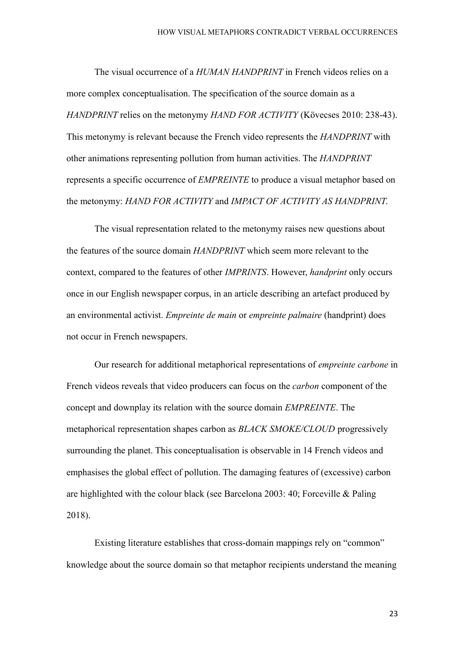The visual occurrence of a *HUMAN HANDPRINT* in French videos relies on a more complex conceptualisation. The specification of the source domain as a *HANDPRINT* relies on the metonymy *HAND FOR ACTIVITY* (Kövecses 2010: 238-43). This metonymy is relevant because the French video represents the *HANDPRINT* with other animations representing pollution from human activities. The *HANDPRINT* represents a specific occurrence of *EMPREINTE* to produce a visual metaphor based on the metonymy: *HAND FOR ACTIVITY* and *IMPACT OF ACTIVITY AS HANDPRINT*.

The visual representation related to the metonymy raises new questions about the features of the source domain *HANDPRINT* which seem more relevant to the context, compared to the features of other *IMPRINTS*. However, *handprint* only occurs once in our English newspaper corpus, in an article describing an artefact produced by an environmental activist. *Empreinte de main* or *empreinte palmaire* (handprint) does not occur in French newspapers.

Our research for additional metaphorical representations of *empreinte carbone* in French videos reveals that video producers can focus on the *carbon* component of the concept and downplay its relation with the source domain *EMPREINTE*. The metaphorical representation shapes carbon as *BLACK SMOKE/CLOUD* progressively surrounding the planet. This conceptualisation is observable in 14 French videos and emphasises the global effect of pollution. The damaging features of (excessive) carbon are highlighted with the colour black (see Barcelona 2003: 40; Forceville & Paling 2018).

Existing literature establishes that cross-domain mappings rely on "common" knowledge about the source domain so that metaphor recipients understand the meaning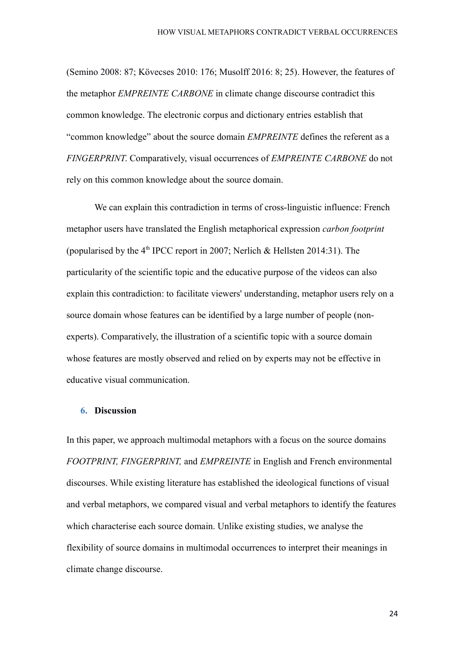(Semino 2008: 87; Kövecses 2010: 176; Musolff 2016: 8; 25). However, the features of the metaphor *EMPREINTE CARBONE* in climate change discourse contradict this common knowledge. The electronic corpus and dictionary entries establish that "common knowledge" about the source domain *EMPREINTE* defines the referent as a *FINGERPRINT*. Comparatively, visual occurrences of *EMPREINTE CARBONE* do not rely on this common knowledge about the source domain.

We can explain this contradiction in terms of cross-linguistic influence: French metaphor users have translated the English metaphorical expression *carbon footprint*  (popularised by the  $4<sup>th</sup>$  IPCC report in 2007; Nerlich & Hellsten 2014:31). The particularity of the scientific topic and the educative purpose of the videos can also explain this contradiction: to facilitate viewers' understanding, metaphor users rely on a source domain whose features can be identified by a large number of people (nonexperts). Comparatively, the illustration of a scientific topic with a source domain whose features are mostly observed and relied on by experts may not be effective in educative visual communication.

### **6. Discussion**

In this paper, we approach multimodal metaphors with a focus on the source domains *FOOTPRINT, FINGERPRINT,* and *EMPREINTE* in English and French environmental discourses. While existing literature has established the ideological functions of visual and verbal metaphors, we compared visual and verbal metaphors to identify the features which characterise each source domain. Unlike existing studies, we analyse the flexibility of source domains in multimodal occurrences to interpret their meanings in climate change discourse.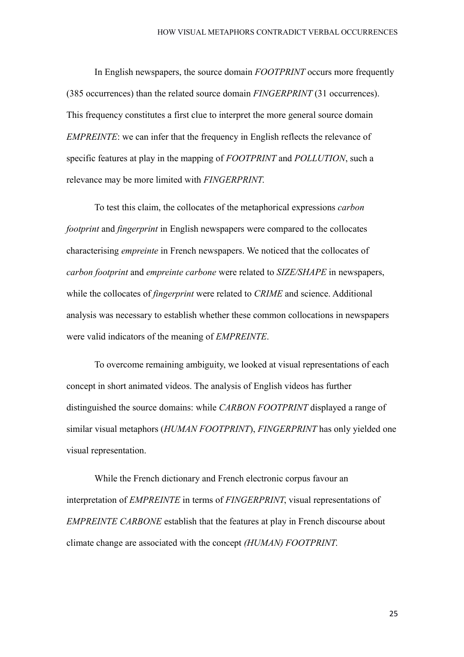In English newspapers, the source domain *FOOTPRINT* occurs more frequently (385 occurrences) than the related source domain *FINGERPRINT* (31 occurrences). This frequency constitutes a first clue to interpret the more general source domain *EMPREINTE*: we can infer that the frequency in English reflects the relevance of specific features at play in the mapping of *FOOTPRINT* and *POLLUTION*, such a relevance may be more limited with *FINGERPRINT*.

To test this claim, the collocates of the metaphorical expressions *carbon footprint* and *fingerprint* in English newspapers were compared to the collocates characterising *empreinte* in French newspapers. We noticed that the collocates of *carbon footprint* and *empreinte carbone* were related to *SIZE/SHAPE* in newspapers, while the collocates of *fingerprint* were related to *CRIME* and science. Additional analysis was necessary to establish whether these common collocations in newspapers were valid indicators of the meaning of *EMPREINTE*.

To overcome remaining ambiguity, we looked at visual representations of each concept in short animated videos. The analysis of English videos has further distinguished the source domains: while *CARBON FOOTPRINT* displayed a range of similar visual metaphors (*HUMAN FOOTPRINT*), *FINGERPRINT* has only yielded one visual representation.

While the French dictionary and French electronic corpus favour an interpretation of *EMPREINTE* in terms of *FINGERPRINT*, visual representations of *EMPREINTE CARBONE* establish that the features at play in French discourse about climate change are associated with the concept *(HUMAN) FOOTPRINT*.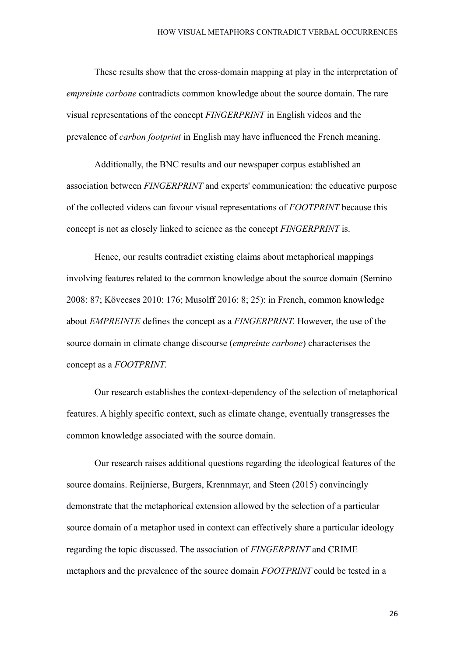These results show that the cross-domain mapping at play in the interpretation of *empreinte carbone* contradicts common knowledge about the source domain. The rare visual representations of the concept *FINGERPRINT* in English videos and the prevalence of *carbon footprint* in English may have influenced the French meaning.

Additionally, the BNC results and our newspaper corpus established an association between *FINGERPRINT* and experts' communication: the educative purpose of the collected videos can favour visual representations of *FOOTPRINT* because this concept is not as closely linked to science as the concept *FINGERPRINT* is.

Hence, our results contradict existing claims about metaphorical mappings involving features related to the common knowledge about the source domain (Semino 2008: 87; Kövecses 2010: 176; Musolff 2016: 8; 25): in French, common knowledge about *EMPREINTE* defines the concept as a *FINGERPRINT.* However, the use of the source domain in climate change discourse (*empreinte carbone*) characterises the concept as a *FOOTPRINT*.

Our research establishes the context-dependency of the selection of metaphorical features. A highly specific context, such as climate change, eventually transgresses the common knowledge associated with the source domain.

Our research raises additional questions regarding the ideological features of the source domains. Reijnierse, Burgers, Krennmayr, and Steen (2015) convincingly demonstrate that the metaphorical extension allowed by the selection of a particular source domain of a metaphor used in context can effectively share a particular ideology regarding the topic discussed. The association of *FINGERPRINT* and CRIME metaphors and the prevalence of the source domain *FOOTPRINT* could be tested in a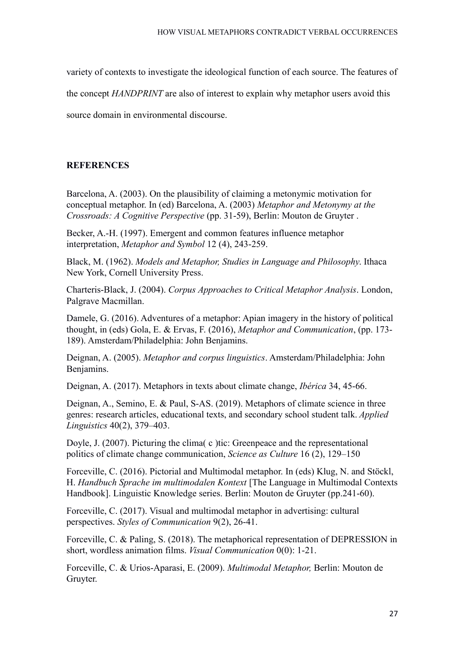variety of contexts to investigate the ideological function of each source. The features of

the concept *HANDPRINT* are also of interest to explain why metaphor users avoid this

source domain in environmental discourse.

## **REFERENCES**

Barcelona, A. (2003). On the plausibility of claiming a metonymic motivation for conceptual metaphor. In (ed) Barcelona, A. (2003) *Metaphor and Metonymy at the Crossroads: A Cognitive Perspective* (pp. 31-59), Berlin: Mouton de Gruyter .

Becker, A.-H. (1997). Emergent and common features influence metaphor interpretation, *Metaphor and Symbol* 12 (4), 243-259.

Black, M. (1962). *Models and Metaphor, Studies in Language and Philosophy*. Ithaca New York, Cornell University Press.

Charteris-Black, J. (2004). *Corpus Approaches to Critical Metaphor Analysis*. London, Palgrave Macmillan.

Damele, G. (2016). Adventures of a metaphor: Apian imagery in the history of political thought, in (eds) Gola, E. & Ervas, F. (2016), *Metaphor and Communication*, (pp. 173- 189). Amsterdam/Philadelphia: John Benjamins.

Deignan, A. (2005). *Metaphor and corpus linguistics*. Amsterdam/Philadelphia: John Benjamins.

Deignan, A. (2017). Metaphors in texts about climate change, *Ibérica* 34, 45-66.

Deignan, A., Semino, E. & Paul, S-AS. (2019). Metaphors of climate science in three genres: research articles, educational texts, and secondary school student talk. *Applied Linguistics* 40(2), 379–403.

Doyle, J. (2007). Picturing the clima c ) tic: Greenpeace and the representational politics of climate change communication, *Science as Culture* 16 (2), 129–150

Forceville, C. (2016). Pictorial and Multimodal metaphor. In (eds) Klug, N. and Stöckl, H. *Handbuch Sprache im multimodalen Kontext* [The Language in Multimodal Contexts Handbook]. Linguistic Knowledge series. Berlin: Mouton de Gruyter (pp.241-60).

Forceville, C. (2017). Visual and multimodal metaphor in advertising: cultural perspectives. *Styles of Communication* 9(2), 26-41.

Forceville, C. & Paling, S. (2018). The metaphorical representation of DEPRESSION in short, wordless animation films. *Visual Communication* 0(0): 1-21.

Forceville, C. & Urios-Aparasi, E. (2009). *Multimodal Metaphor,* Berlin: Mouton de Gruyter.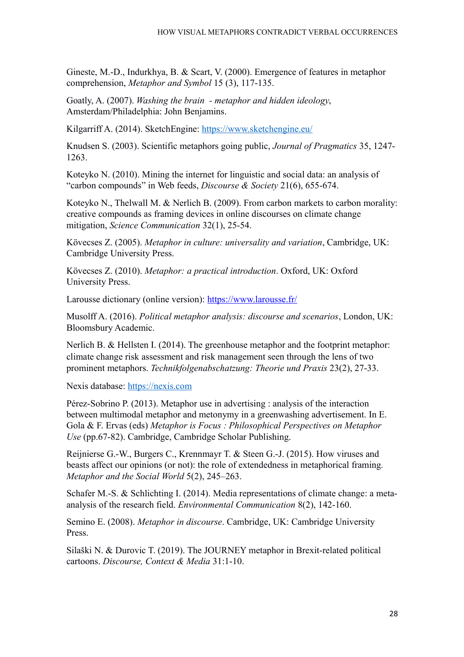Gineste, M.-D., Indurkhya, B. & Scart, V. (2000). Emergence of features in metaphor comprehension, *Metaphor and Symbol* 15 (3), 117-135.

Goatly, A. (2007). *Washing the brain - metaphor and hidden ideology*, Amsterdam/Philadelphia: John Benjamins.

Kilgarriff A. (2014). SketchEngine:<https://www.sketchengine.eu/>

Knudsen S. (2003). Scientific metaphors going public, *Journal of Pragmatics* 35, 1247- 1263.

Koteyko N. (2010). Mining the internet for linguistic and social data: an analysis of "carbon compounds" in Web feeds, *Discourse & Society* 21(6), 655-674.

Koteyko N., Thelwall M. & Nerlich B. (2009). From carbon markets to carbon morality: creative compounds as framing devices in online discourses on climate change mitigation, *Science Communication* 32(1), 25-54.

Kövecses Z. (2005). *Metaphor in culture: universality and variation*, Cambridge, UK: Cambridge University Press.

Kövecses Z. (2010). *Metaphor: a practical introduction*. Oxford, UK: Oxford University Press.

Larousse dictionary (online version):<https://www.larousse.fr/>

Musolff A. (2016). *Political metaphor analysis: discourse and scenarios*, London, UK: Bloomsbury Academic.

Nerlich B. & Hellsten I. (2014). The greenhouse metaphor and the footprint metaphor: climate change risk assessment and risk management seen through the lens of two prominent metaphors. *Technikfolgenabschatzung: Theorie und Praxis* 23(2), 27-33.

Nexis database: [https://nexis.com](https://nexis.com/)

Pérez-Sobrino P. (2013). Metaphor use in advertising : analysis of the interaction between multimodal metaphor and metonymy in a greenwashing advertisement. In E. Gola & F. Ervas (eds) *Metaphor is Focus : Philosophical Perspectives on Metaphor Use* (pp.67-82). Cambridge, Cambridge Scholar Publishing.

Reijnierse G.-W., Burgers C., Krennmayr T. & Steen G.-J. (2015). How viruses and beasts affect our opinions (or not): the role of extendedness in metaphorical framing*. Metaphor and the Social World* 5(2), 245–263.

Schafer M.-S. & Schlichting I. (2014). Media representations of climate change: a metaanalysis of the research field. *Environmental Communication* 8(2), 142-160.

Semino E. (2008). *Metaphor in discourse*. Cambridge, UK: Cambridge University Press.

Silaški N. & Durovic T. (2019). The JOURNEY metaphor in Brexit-related political cartoons. *Discourse, Context & Media* 31:1-10.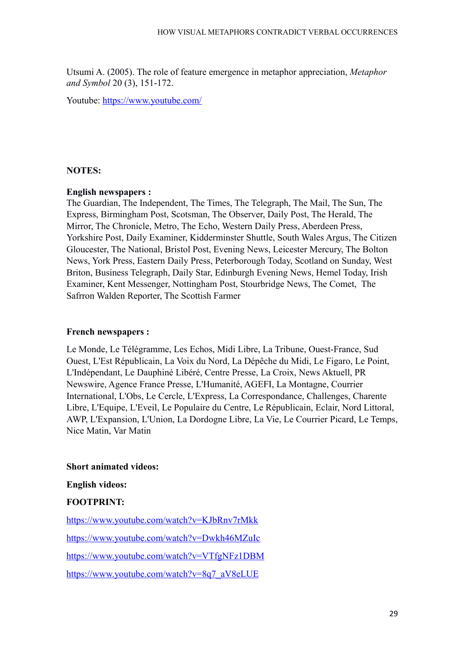Utsumi A. (2005). The role of feature emergence in metaphor appreciation, *Metaphor and Symbol* 20 (3), 151-172.

Youtube:<https://www.youtube.com/>

## **NOTES:**

## **English newspapers :**

The Guardian, The Independent, The Times, The Telegraph, The Mail, The Sun, The Express, Birmingham Post, Scotsman, The Observer, Daily Post, The Herald, The Mirror, The Chronicle, Metro, The Echo, Western Daily Press, Aberdeen Press, Yorkshire Post, Daily Examiner, Kidderminster Shuttle, South Wales Argus, The Citizen Gloucester, The National, Bristol Post, Evening News, Leicester Mercury, The Bolton News, York Press, Eastern Daily Press, Peterborough Today, Scotland on Sunday, West Briton, Business Telegraph, Daily Star, Edinburgh Evening News, Hemel Today, Irish Examiner, Kent Messenger, Nottingham Post, Stourbridge News, The Comet, The Safrron Walden Reporter, The Scottish Farmer

## **French newspapers :**

Le Monde, Le Télégramme, Les Echos, Midi Libre, La Tribune, Ouest-France, Sud Ouest, L'Est Républicain, La Voix du Nord, La Dépêche du Midi, Le Figaro, Le Point, L'Indépendant, Le Dauphiné Libéré, Centre Presse, La Croix, News Aktuell, PR Newswire, Agence France Presse, L'Humanité, AGEFI, La Montagne, Courrier International, L'Obs, Le Cercle, L'Express, La Correspondance, Challenges, Charente Libre, L'Equipe, L'Eveil, Le Populaire du Centre, Le Républicain, Eclair, Nord Littoral, AWP, L'Expansion, L'Union, La Dordogne Libre, La Vie, Le Courrier Picard, Le Temps, Nice Matin, Var Matin

## **Short animated videos:**

## **English videos:**

# **FOOTPRINT:**

<https://www.youtube.com/watch?v=KJbRnv7rMkk> <https://www.youtube.com/watch?v=Dwkh46MZuIc> <https://www.youtube.com/watch?v=VTfgNFz1DBM> [https://www.youtube.com/watch?v=8q7\\_aV8eLUE](https://www.youtube.com/watch?v=8q7_aV8eLUE)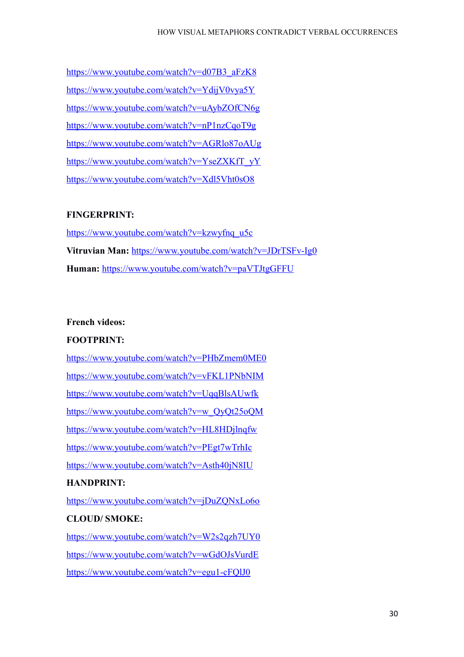[https://www.youtube.com/watch?v=d07B3\\_aFzK8](https://www.youtube.com/watch?v=d07B3_aFzK8) <https://www.youtube.com/watch?v=YdijV0vya5Y> <https://www.youtube.com/watch?v=uAybZOfCN6g> <https://www.youtube.com/watch?v=nP1nzCqoT9g> <https://www.youtube.com/watch?v=AGRlo87oAUg> [https://www.youtube.com/watch?v=YseZXKfT\\_yY](https://www.youtube.com/watch?v=YseZXKfT_yY) <https://www.youtube.com/watch?v=Xdl5Vht0sO8>

## **FINGERPRINT:**

[https://www.youtube.com/watch?v=kzwyfnq\\_u5c](https://www.youtube.com/watch?v=kzwyfnq_u5c) Vitruvian Man: <https://www.youtube.com/watch?v=JDrTSFv-Ig0> **Human:** <https://www.youtube.com/watch?v=paVTJtgGFFU>

## **French videos:**

## **FOOTPRINT:**

<https://www.youtube.com/watch?v=PHbZmem0ME0> <https://www.youtube.com/watch?v=vFKL1PNbNIM> <https://www.youtube.com/watch?v=UqqBlsAUwfk> [https://www.youtube.com/watch?v=w\\_QyQt25oQM](https://www.youtube.com/watch?v=w_QyQt25oQM) <https://www.youtube.com/watch?v=HL8HDjlnqfw> <https://www.youtube.com/watch?v=PEgt7wTrhIc> <https://www.youtube.com/watch?v=Asth40jN8IU> **HANDPRINT:**

<https://www.youtube.com/watch?v=jDuZQNxLo6o>

# **CLOUD/ SMOKE:**

<https://www.youtube.com/watch?v=W2s2qzh7UY0> <https://www.youtube.com/watch?v=wGdOJsVurdE> <https://www.youtube.com/watch?v=egu1-cFQlJ0>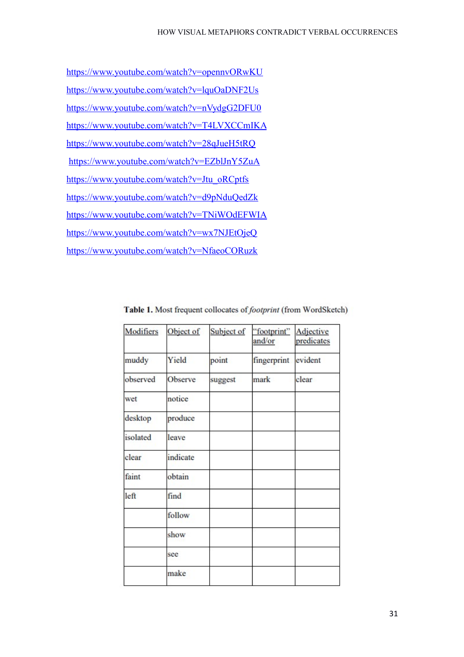<https://www.youtube.com/watch?v=opennvORwKU> <https://www.youtube.com/watch?v=lquOaDNF2Us> <https://www.youtube.com/watch?v=nVydgG2DFU0> <https://www.youtube.com/watch?v=T4LVXCCmIKA> <https://www.youtube.com/watch?v=28qJueH5tRQ> <https://www.youtube.com/watch?v=EZblJnY5ZuA> [https://www.youtube.com/watch?v=Jtu\\_oRCptfs](https://www.youtube.com/watch?v=Jtu_oRCptfs) <https://www.youtube.com/watch?v=d9pNduQedZk> <https://www.youtube.com/watch?v=TNiWOdEFWIA> <https://www.youtube.com/watch?v=wx7NJEtOjeQ> <https://www.youtube.com/watch?v=NfaeoCORuzk>

| Modifiers | Object of | Subject of | "footprint"<br>and/or | Adjective<br>predicates |
|-----------|-----------|------------|-----------------------|-------------------------|
| muddy     | Yield     | point      | fingerprint           | evident                 |
| observed  | Observe   | suggest    | mark                  | clear                   |
| wet       | notice    |            |                       |                         |
| desktop   | produce   |            |                       |                         |
| isolated  | leave     |            |                       |                         |
| clear     | indicate  |            |                       |                         |
| faint     | obtain    |            |                       |                         |
| left      | find      |            |                       |                         |
|           | follow    |            |                       |                         |
|           | show      |            |                       |                         |
|           | see       |            |                       |                         |
|           | make      |            |                       |                         |

Table 1. Most frequent collocates of *footprint* (from WordSketch)